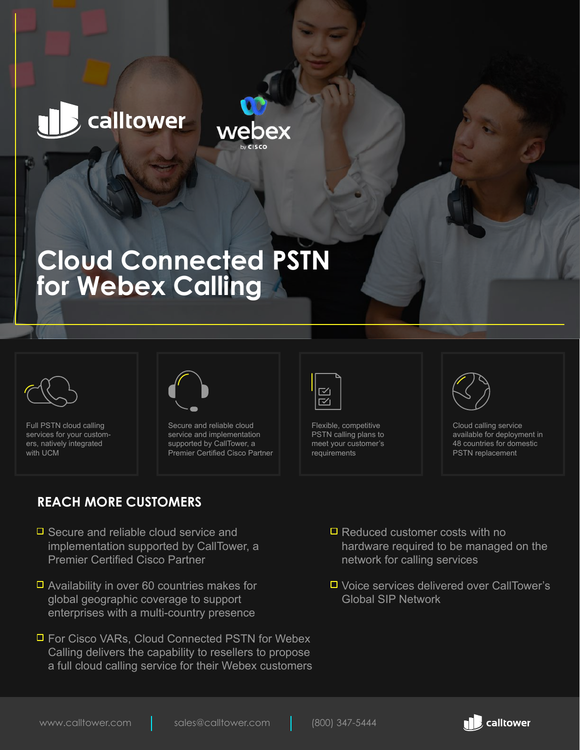# calltower



## **Cloud Connected PSTN for Webex Calling**



Full PSTN cloud calling services for your customers, natively integrated with UCM



Secure and reliable cloud service and implementation supported by CallTower, a Premier Certified Cisco Partner

#### **REACH MORE CUSTOMERS**

- $\Box$  Secure and reliable cloud service and implementation supported by CallTower, a Premier Certified Cisco Partner
- $\Box$  Availability in over 60 countries makes for global geographic coverage to support enterprises with a multi-country presence
- For Cisco VARs, Cloud Connected PSTN for Webex Calling delivers the capability to resellers to propose a full cloud calling service for their Webex customers



Flexible, competitive PSTN calling plans to meet your customer's requirements

∼ี  $\prec$ 



Cloud calling service available for deployment in 48 countries for domestic PSTN replacement

- $\Box$  Reduced customer costs with no hardware required to be managed on the network for calling services
- Voice services delivered over CallTower's Global SIP Network

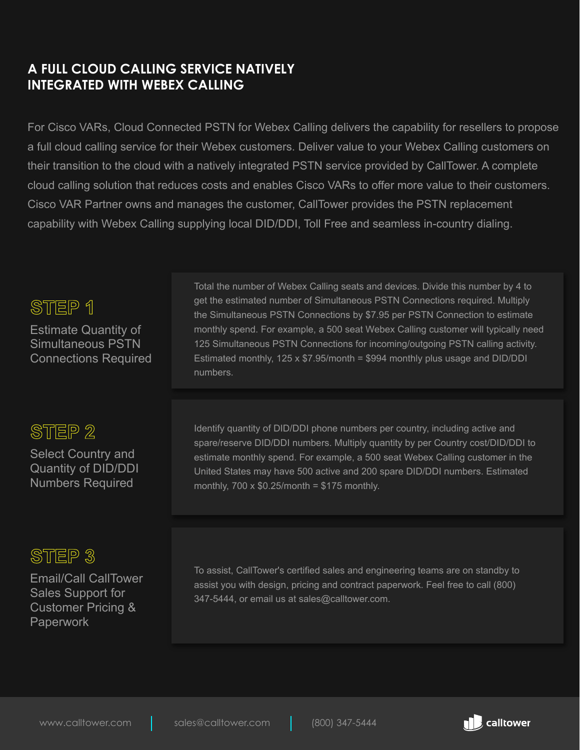#### **A FULL CLOUD CALLING SERVICE NATIVELY INTEGRATED WITH WEBEX CALLING**

For Cisco VARs, Cloud Connected PSTN for Webex Calling delivers the capability for resellers to propose a full cloud calling service for their Webex customers. Deliver value to your Webex Calling customers on their transition to the cloud with a natively integrated PSTN service provided by CallTower. A complete cloud calling solution that reduces costs and enables Cisco VARs to offer more value to their customers. Cisco VAR Partner owns and manages the customer, CallTower provides the PSTN replacement capability with Webex Calling supplying local DID/DDI, Toll Free and seamless in-country dialing.

#### STEP 1

Estimate Quantity of Simultaneous PSTN Connections Required

### STEP<sub>2</sub>

Select Country and Quantity of DID/DDI Numbers Required

### STEP<sub>3</sub>

Email/Call CallTower Sales Support for Customer Pricing & Paperwork

Total the number of Webex Calling seats and devices. Divide this number by 4 to get the estimated number of Simultaneous PSTN Connections required. Multiply the Simultaneous PSTN Connections by \$7.95 per PSTN Connection to estimate monthly spend. For example, a 500 seat Webex Calling customer will typically need 125 Simultaneous PSTN Connections for incoming/outgoing PSTN calling activity. Estimated monthly, 125 x \$7.95/month = \$994 monthly plus usage and DID/DDI numbers.

Identify quantity of DID/DDI phone numbers per country, including active and spare/reserve DID/DDI numbers. Multiply quantity by per Country cost/DID/DDI to estimate monthly spend. For example, a 500 seat Webex Calling customer in the United States may have 500 active and 200 spare DID/DDI numbers. Estimated monthly,  $700 \times $0.25$ /month = \$175 monthly.

To assist, CallTower's certified sales and engineering teams are on standby to assist you with design, pricing and contract paperwork. Feel free to call (800) 347-5444, or email us at sales@calltower.com.